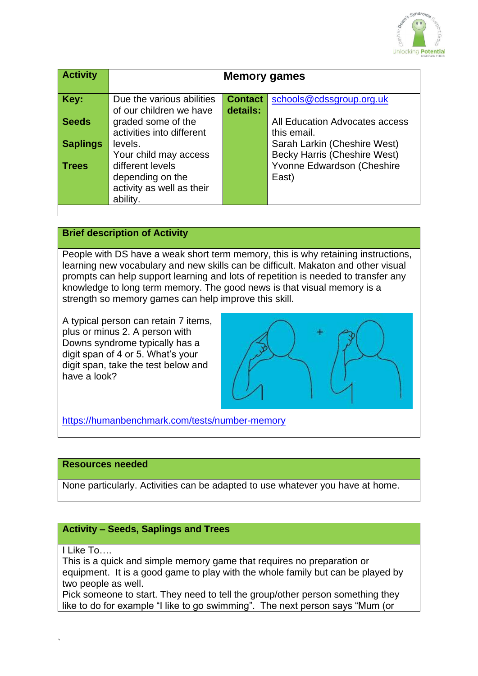

| <b>Activity</b> | <b>Memory games</b>       |                |                                     |
|-----------------|---------------------------|----------------|-------------------------------------|
|                 |                           |                |                                     |
| Key:            | Due the various abilities | <b>Contact</b> | schools@cdssgroup.org.uk            |
|                 | of our children we have   | details:       |                                     |
| <b>Seeds</b>    | graded some of the        |                | All Education Advocates access      |
|                 | activities into different |                | this email.                         |
| <b>Saplings</b> | levels.                   |                | Sarah Larkin (Cheshire West)        |
|                 | Your child may access     |                | <b>Becky Harris (Cheshire West)</b> |
| <b>Trees</b>    | different levels          |                | Yvonne Edwardson (Cheshire          |
|                 | depending on the          |                | East)                               |
|                 | activity as well as their |                |                                     |
|                 | ability.                  |                |                                     |

# **Brief description of Activity**

People with DS have a weak short term memory, this is why retaining instructions, learning new vocabulary and new skills can be difficult. Makaton and other visual prompts can help support learning and lots of repetition is needed to transfer any knowledge to long term memory. The good news is that visual memory is a strength so memory games can help improve this skill.

A typical person can retain 7 items, plus or minus 2. A person with Downs syndrome typically has a digit span of 4 or 5. What's your digit span, take the test below and have a look?



<https://humanbenchmark.com/tests/number-memory>

### **Resources needed**

None particularly. Activities can be adapted to use whatever you have at home.

#### **Activity – Seeds, Saplings and Trees**

I Like To....

This is a quick and simple memory game that requires no preparation or equipment. It is a good game to play with the whole family but can be played by two people as well.

Pick someone to start. They need to tell the group/other person something they like to do for example "I like to go swimming". The next person says "Mum (or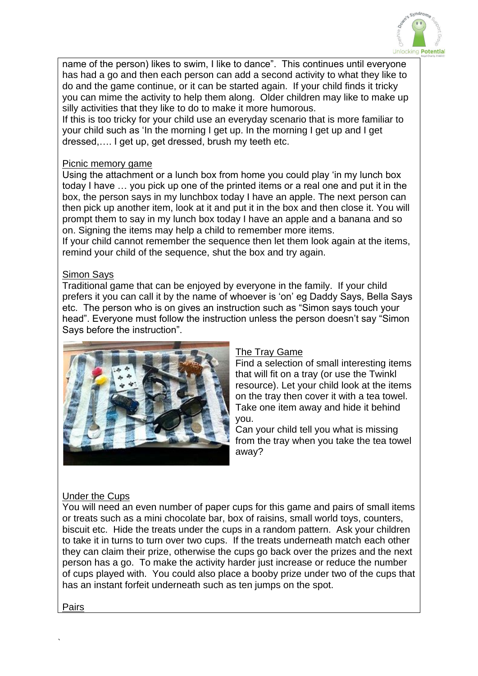

name of the person) likes to swim, I like to dance". This continues until everyone has had a go and then each person can add a second activity to what they like to do and the game continue, or it can be started again. If your child finds it tricky you can mime the activity to help them along. Older children may like to make up silly activities that they like to do to make it more humorous.

If this is too tricky for your child use an everyday scenario that is more familiar to your child such as 'In the morning I get up. In the morning I get up and I get dressed,…. I get up, get dressed, brush my teeth etc.

#### Picnic memory game

Using the attachment or a lunch box from home you could play 'in my lunch box today I have … you pick up one of the printed items or a real one and put it in the box, the person says in my lunchbox today I have an apple. The next person can then pick up another item, look at it and put it in the box and then close it. You will prompt them to say in my lunch box today I have an apple and a banana and so on. Signing the items may help a child to remember more items.

If your child cannot remember the sequence then let them look again at the items, remind your child of the sequence, shut the box and try again.

#### Simon Says

Traditional game that can be enjoyed by everyone in the family. If your child prefers it you can call it by the name of whoever is 'on' eg Daddy Says, Bella Says etc. The person who is on gives an instruction such as "Simon says touch your head". Everyone must follow the instruction unless the person doesn't say "Simon Says before the instruction".



#### The Tray Game

Find a selection of small interesting items that will fit on a tray (or use the Twinkl resource). Let your child look at the items on the tray then cover it with a tea towel. Take one item away and hide it behind you.

Can your child tell you what is missing from the tray when you take the tea towel away?

# Under the Cups

You will need an even number of paper cups for this game and pairs of small items or treats such as a mini chocolate bar, box of raisins, small world toys, counters, biscuit etc. Hide the treats under the cups in a random pattern. Ask your children to take it in turns to turn over two cups. If the treats underneath match each other they can claim their prize, otherwise the cups go back over the prizes and the next person has a go. To make the activity harder just increase or reduce the number of cups played with. You could also place a booby prize under two of the cups that has an instant forfeit underneath such as ten jumps on the spot.

Pairs

`